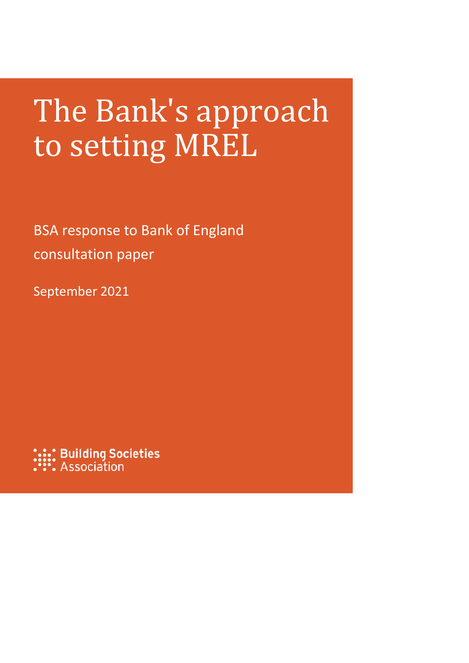# The Bank's approach to setting MREL

BSA response to Bank of England consultation paper

September 2021

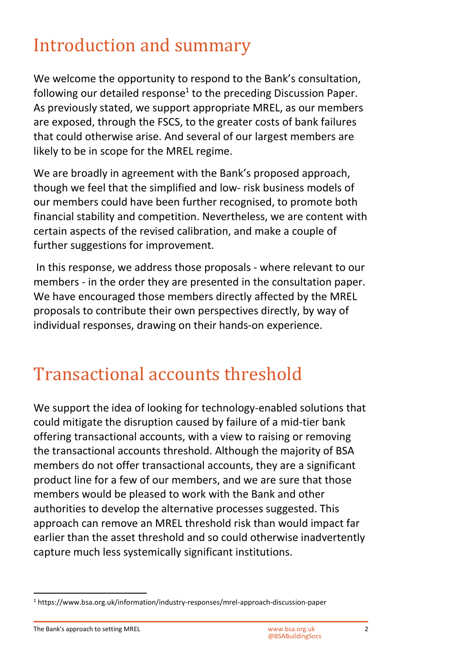## Introduction and summary

We welcome the opportunity to respond to the Bank's consultation, following our detailed response<sup>[1](#page-1-0)</sup> to the preceding Discussion Paper. As previously stated, we support appropriate MREL, as our members are exposed, through the FSCS, to the greater costs of bank failures that could otherwise arise. And several of our largest members are likely to be in scope for the MREL regime.

We are broadly in agreement with the Bank's proposed approach, though we feel that the simplified and low- risk business models of our members could have been further recognised, to promote both financial stability and competition. Nevertheless, we are content with certain aspects of the revised calibration, and make a couple of further suggestions for improvement.

 In this response, we address those proposals - where relevant to our members - in the order they are presented in the consultation paper. We have encouraged those members directly affected by the MREL proposals to contribute their own perspectives directly, by way of individual responses, drawing on their hands-on experience.

#### Transactional accounts threshold

We support the idea of looking for technology-enabled solutions that could mitigate the disruption caused by failure of a mid-tier bank offering transactional accounts, with a view to raising or removing the transactional accounts threshold. Although the majority of BSA members do not offer transactional accounts, they are a significant product line for a few of our members, and we are sure that those members would be pleased to work with the Bank and other authorities to develop the alternative processes suggested. This approach can remove an MREL threshold risk than would impact far earlier than the asset threshold and so could otherwise inadvertently capture much less systemically significant institutions.

The Bank's approach to setting MREL WARD WAS ACCOMBINED WAS Approach to setting MREL

<span id="page-1-0"></span><sup>&</sup>lt;sup>1</sup> https://www.bsa.org.uk/information/industry-responses/mrel-approach-discussion-paper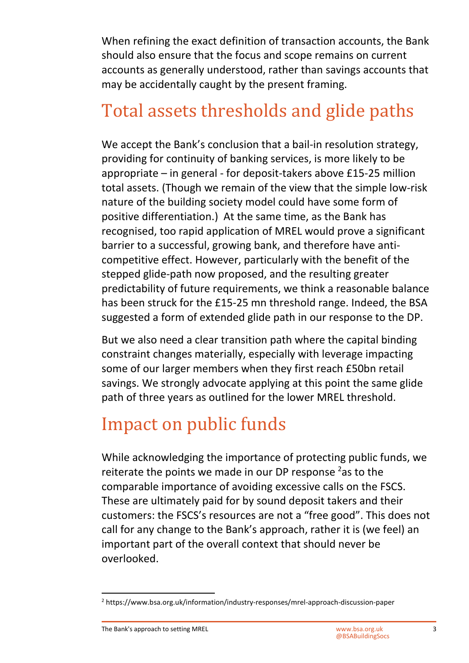When refining the exact definition of transaction accounts, the Bank should also ensure that the focus and scope remains on current accounts as generally understood, rather than savings accounts that may be accidentally caught by the present framing.

# Total assets thresholds and glide paths

We accept the Bank's conclusion that a bail-in resolution strategy, providing for continuity of banking services, is more likely to be appropriate – in general - for deposit-takers above £15-25 million total assets. (Though we remain of the view that the simple low-risk nature of the building society model could have some form of positive differentiation.) At the same time, as the Bank has recognised, too rapid application of MREL would prove a significant barrier to a successful, growing bank, and therefore have anticompetitive effect. However, particularly with the benefit of the stepped glide-path now proposed, and the resulting greater predictability of future requirements, we think a reasonable balance has been struck for the £15-25 mn threshold range. Indeed, the BSA suggested a form of extended glide path in our response to the DP.

But we also need a clear transition path where the capital binding constraint changes materially, especially with leverage impacting some of our larger members when they first reach £50bn retail savings. We strongly advocate applying at this point the same glide path of three years as outlined for the lower MREL threshold.

# Impact on public funds

While acknowledging the importance of protecting public funds, we reiterate the points we made in our DP response  $2$  as to the comparable importance of avoiding excessive calls on the FSCS. These are ultimately paid for by sound deposit takers and their customers: the FSCS's resources are not a "free good". This does not call for any change to the Bank's approach, rather it is (we feel) an important part of the overall context that should never be overlooked.

<span id="page-2-0"></span><sup>&</sup>lt;sup>2</sup> https://www.bsa.org.uk/information/industry-responses/mrel-approach-discussion-paper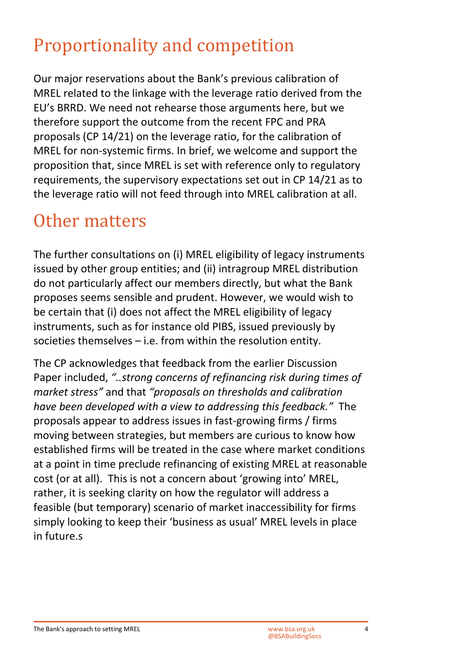### Proportionality and competition

Our major reservations about the Bank's previous calibration of MREL related to the linkage with the leverage ratio derived from the EU's BRRD. We need not rehearse those arguments here, but we therefore support the outcome from the recent FPC and PRA proposals (CP 14/21) on the leverage ratio, for the calibration of MREL for non-systemic firms. In brief, we welcome and support the proposition that, since MREL is set with reference only to regulatory requirements, the supervisory expectations set out in CP 14/21 as to the leverage ratio will not feed through into MREL calibration at all.

#### Other matters

The further consultations on (i) MREL eligibility of legacy instruments issued by other group entities; and (ii) intragroup MREL distribution do not particularly affect our members directly, but what the Bank proposes seems sensible and prudent. However, we would wish to be certain that (i) does not affect the MREL eligibility of legacy instruments, such as for instance old PIBS, issued previously by societies themselves – i.e. from within the resolution entity.

The CP acknowledges that feedback from the earlier Discussion Paper included, *"..strong concerns of refinancing risk during times of market stress"* and that *"proposals on thresholds and calibration have been developed with a view to addressing this feedback."* The proposals appear to address issues in fast-growing firms / firms moving between strategies, but members are curious to know how established firms will be treated in the case where market conditions at a point in time preclude refinancing of existing MREL at reasonable cost (or at all). This is not a concern about 'growing into' MREL, rather, it is seeking clarity on how the regulator will address a feasible (but temporary) scenario of market inaccessibility for firms simply looking to keep their 'business as usual' MREL levels in place in future.s